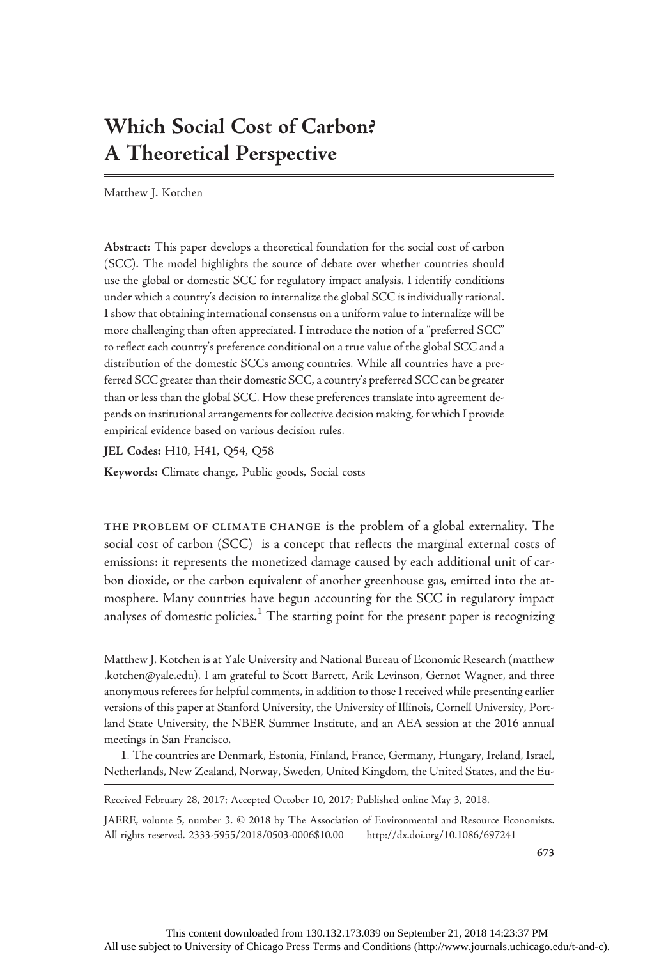# Which Social Cost of Carbon? A Theoretical Perspective

Matthew J. Kotchen

Abstract: This paper develops a theoretical foundation for the social cost of carbon (SCC). The model highlights the source of debate over whether countries should use the global or domestic SCC for regulatory impact analysis. I identify conditions under which a country's decision to internalize the global SCC is individually rational. I show that obtaining international consensus on a uniform value to internalize will be more challenging than often appreciated. I introduce the notion of a "preferred SCC" to reflect each country's preference conditional on a true value of the global SCC and a distribution of the domestic SCCs among countries. While all countries have a preferred SCC greater than their domestic SCC, a country's preferred SCC can be greater than or less than the global SCC. How these preferences translate into agreement depends on institutional arrangements for collective decision making, for which I provide empirical evidence based on various decision rules.

JEL Codes: H10, H41, Q54, Q58

Keywords: Climate change, Public goods, Social costs

THE PROBLEM OF CLIMATE CHANGE is the problem of a global externality. The social cost of carbon (SCC) is a concept that reflects the marginal external costs of emissions: it represents the monetized damage caused by each additional unit of carbon dioxide, or the carbon equivalent of another greenhouse gas, emitted into the atmosphere. Many countries have begun accounting for the SCC in regulatory impact analyses of domestic policies.<sup>1</sup> The starting point for the present paper is recognizing

Matthew J. Kotchen is at Yale University and National Bureau of Economic Research (matthew .kotchen@yale.edu). I am grateful to Scott Barrett, Arik Levinson, Gernot Wagner, and three anonymous referees for helpful comments, in addition to those I received while presenting earlier versions of this paper at Stanford University, the University of Illinois, Cornell University, Portland State University, the NBER Summer Institute, and an AEA session at the 2016 annual meetings in San Francisco.

1. The countries are Denmark, Estonia, Finland, France, Germany, Hungary, Ireland, Israel, Netherlands, New Zealand, Norway, Sweden, United Kingdom, the United States, and the Eu-

Received February 28, 2017; Accepted October 10, 2017; Published online May 3, 2018.

JAERE, volume 5, number 3. © 2018 by The Association of Environmental and Resource Economists. All rights reserved. 2333-5955/2018/0503-0006\$10.00 http://dx.doi.org/10.1086/697241

673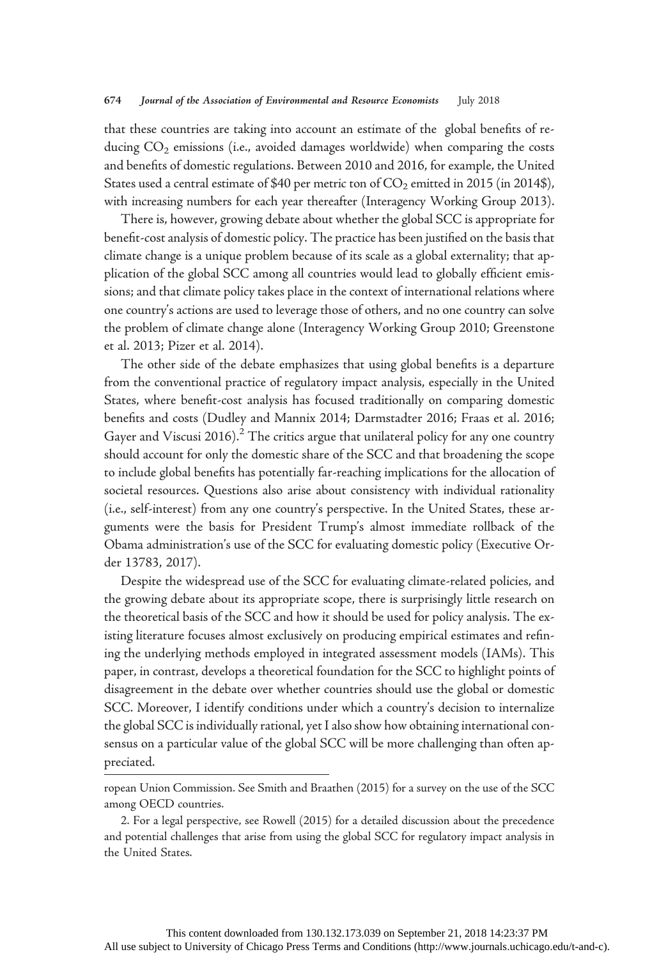that these countries are taking into account an estimate of the global benefits of reducing  $CO<sub>2</sub>$  emissions (i.e., avoided damages worldwide) when comparing the costs and benefits of domestic regulations. Between 2010 and 2016, for example, the United States used a central estimate of \$40 per metric ton of  $CO<sub>2</sub>$  emitted in 2015 (in 2014\$), with increasing numbers for each year thereafter (Interagency Working Group 2013).

There is, however, growing debate about whether the global SCC is appropriate for benefit-cost analysis of domestic policy. The practice has been justified on the basis that climate change is a unique problem because of its scale as a global externality; that application of the global SCC among all countries would lead to globally efficient emissions; and that climate policy takes place in the context of international relations where one country's actions are used to leverage those of others, and no one country can solve the problem of climate change alone (Interagency Working Group 2010; Greenstone et al. 2013; Pizer et al. 2014).

The other side of the debate emphasizes that using global benefits is a departure from the conventional practice of regulatory impact analysis, especially in the United States, where benefit-cost analysis has focused traditionally on comparing domestic benefits and costs (Dudley and Mannix 2014; Darmstadter 2016; Fraas et al. 2016; Gayer and Viscusi 2016).<sup>2</sup> The critics argue that unilateral policy for any one country should account for only the domestic share of the SCC and that broadening the scope to include global benefits has potentially far-reaching implications for the allocation of societal resources. Questions also arise about consistency with individual rationality (i.e., self-interest) from any one country's perspective. In the United States, these arguments were the basis for President Trump's almost immediate rollback of the Obama administration's use of the SCC for evaluating domestic policy (Executive Order 13783, 2017).

Despite the widespread use of the SCC for evaluating climate-related policies, and the growing debate about its appropriate scope, there is surprisingly little research on the theoretical basis of the SCC and how it should be used for policy analysis. The existing literature focuses almost exclusively on producing empirical estimates and refining the underlying methods employed in integrated assessment models (IAMs). This paper, in contrast, develops a theoretical foundation for the SCC to highlight points of disagreement in the debate over whether countries should use the global or domestic SCC. Moreover, I identify conditions under which a country's decision to internalize the global SCC is individually rational, yet I also show how obtaining international consensus on a particular value of the global SCC will be more challenging than often appreciated.

ropean Union Commission. See Smith and Braathen (2015) for a survey on the use of the SCC among OECD countries.

<sup>2.</sup> For a legal perspective, see Rowell (2015) for a detailed discussion about the precedence and potential challenges that arise from using the global SCC for regulatory impact analysis in the United States.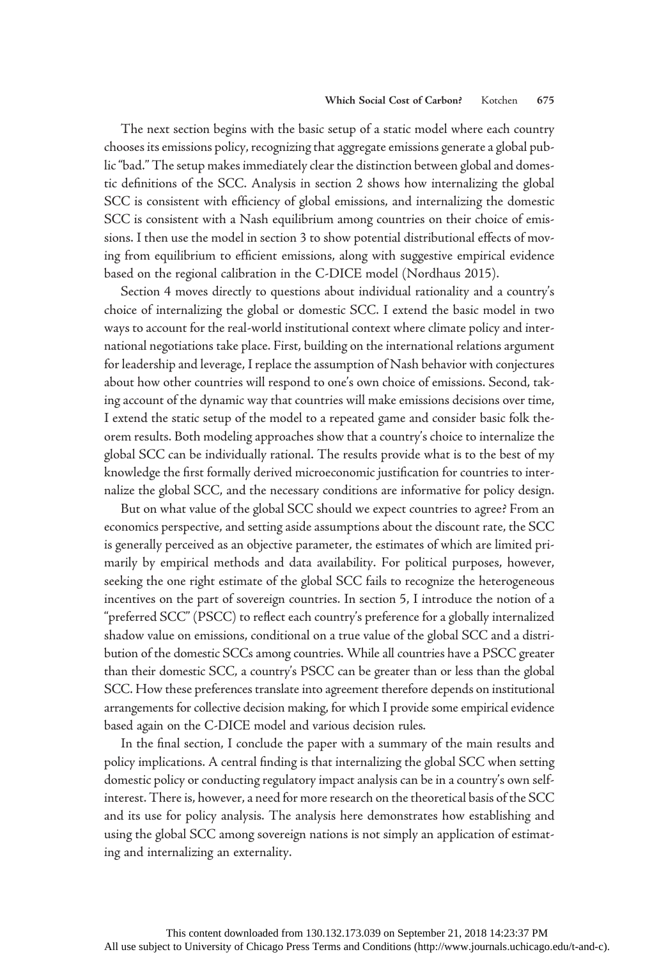The next section begins with the basic setup of a static model where each country chooses its emissions policy, recognizing that aggregate emissions generate a global public"bad." The setup makes immediately clear the distinction between global and domestic definitions of the SCC. Analysis in section 2 shows how internalizing the global SCC is consistent with efficiency of global emissions, and internalizing the domestic SCC is consistent with a Nash equilibrium among countries on their choice of emissions. I then use the model in section 3 to show potential distributional effects of moving from equilibrium to efficient emissions, along with suggestive empirical evidence based on the regional calibration in the C-DICE model (Nordhaus 2015).

Section 4 moves directly to questions about individual rationality and a country's choice of internalizing the global or domestic SCC. I extend the basic model in two ways to account for the real-world institutional context where climate policy and international negotiations take place. First, building on the international relations argument for leadership and leverage, I replace the assumption of Nash behavior with conjectures about how other countries will respond to one's own choice of emissions. Second, taking account of the dynamic way that countries will make emissions decisions over time, I extend the static setup of the model to a repeated game and consider basic folk theorem results. Both modeling approaches show that a country's choice to internalize the global SCC can be individually rational. The results provide what is to the best of my knowledge the first formally derived microeconomic justification for countries to internalize the global SCC, and the necessary conditions are informative for policy design.

But on what value of the global SCC should we expect countries to agree? From an economics perspective, and setting aside assumptions about the discount rate, the SCC is generally perceived as an objective parameter, the estimates of which are limited primarily by empirical methods and data availability. For political purposes, however, seeking the one right estimate of the global SCC fails to recognize the heterogeneous incentives on the part of sovereign countries. In section 5, I introduce the notion of a "preferred SCC" (PSCC) to reflect each country's preference for a globally internalized shadow value on emissions, conditional on a true value of the global SCC and a distribution of the domestic SCCs among countries. While all countries have a PSCC greater than their domestic SCC, a country's PSCC can be greater than or less than the global SCC. How these preferences translate into agreement therefore depends on institutional arrangements for collective decision making, for which I provide some empirical evidence based again on the C-DICE model and various decision rules.

In the final section, I conclude the paper with a summary of the main results and policy implications. A central finding is that internalizing the global SCC when setting domestic policy or conducting regulatory impact analysis can be in a country's own selfinterest. There is, however, a need for more research on the theoretical basis of the SCC and its use for policy analysis. The analysis here demonstrates how establishing and using the global SCC among sovereign nations is not simply an application of estimating and internalizing an externality.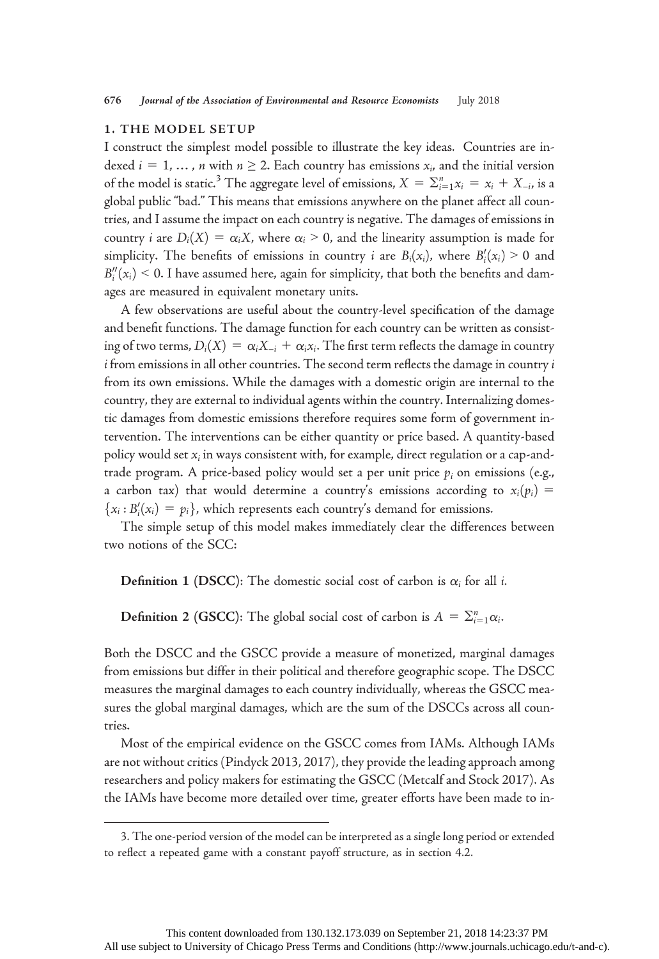## 1. THE MODEL SETUP

I construct the simplest model possible to illustrate the key ideas. Countries are indexed  $i = 1, ..., n$  with  $n \ge 2$ . Each country has emissions  $x_i$ , and the initial version of the model is static.<sup>3</sup> The aggregate level of emissions,  $X = \sum_{i=1}^{n} x_i = x_i + X_{-i}$ , is a global public "bad." This means that emissions anywhere on the planet affect all countries, and I assume the impact on each country is negative. The damages of emissions in country *i* are  $D_i(X) = \alpha_i X$ , where  $\alpha_i > 0$ , and the linearity assumption is made for simplicity. The benefits of emissions in country *i* are  $B_i(x_i)$ , where  $B_i'(x_i) > 0$  and  $B_i''(x_i) \leq 0$ . I have assumed here, again for simplicity, that both the benefits and damages are measured in equivalent monetary units.

A few observations are useful about the country-level specification of the damage and benefit functions. The damage function for each country can be written as consisting of two terms,  $D_i(X) = \alpha_i X_{-i} + \alpha_i x_i$ . The first term reflects the damage in country  $i$  from emissions in all other countries. The second term reflects the damage in country  $i$ from its own emissions. While the damages with a domestic origin are internal to the country, they are external to individual agents within the country. Internalizing domestic damages from domestic emissions therefore requires some form of government intervention. The interventions can be either quantity or price based. A quantity-based policy would set  $x_i$  in ways consistent with, for example, direct regulation or a cap-andtrade program. A price-based policy would set a per unit price  $p_i$  on emissions (e.g., a carbon tax) that would determine a country's emissions according to  $x_i(p_i)$  =  ${x_i : B'_i(x_i) = p_i}$ , which represents each country's demand for emissions.<br>The simple setup of this model makes immediately also the different

The simple setup of this model makes immediately clear the differences between two notions of the SCC:

**Definition 1 (DSCC):** The domestic social cost of carbon is  $\alpha_i$  for all *i*.

**Definition 2 (GSCC):** The global social cost of carbon is  $A = \sum_{i=1}^{n} \alpha_i$ .

Both the DSCC and the GSCC provide a measure of monetized, marginal damages from emissions but differ in their political and therefore geographic scope. The DSCC measures the marginal damages to each country individually, whereas the GSCC measures the global marginal damages, which are the sum of the DSCCs across all countries.

Most of the empirical evidence on the GSCC comes from IAMs. Although IAMs are not without critics (Pindyck 2013, 2017), they provide the leading approach among researchers and policy makers for estimating the GSCC (Metcalf and Stock 2017). As the IAMs have become more detailed over time, greater efforts have been made to in-

<sup>3.</sup> The one-period version of the model can be interpreted as a single long period or extended to reflect a repeated game with a constant payoff structure, as in section 4.2.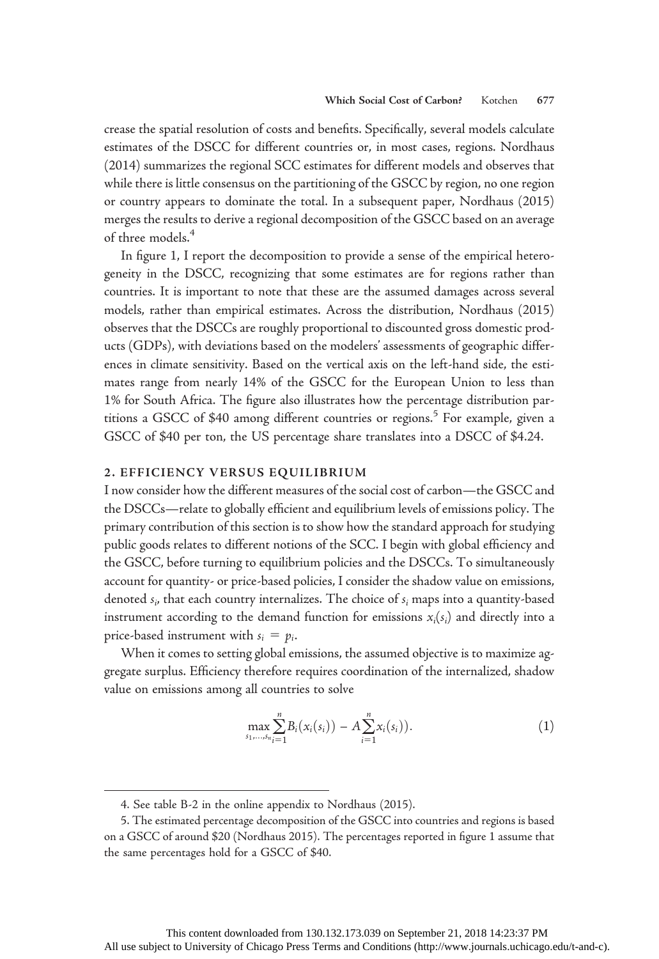crease the spatial resolution of costs and benefits. Specifically, several models calculate estimates of the DSCC for different countries or, in most cases, regions. Nordhaus (2014) summarizes the regional SCC estimates for different models and observes that while there is little consensus on the partitioning of the GSCC by region, no one region or country appears to dominate the total. In a subsequent paper, Nordhaus (2015) merges the results to derive a regional decomposition of the GSCC based on an average of three models.<sup>4</sup>

In figure 1, I report the decomposition to provide a sense of the empirical heterogeneity in the DSCC, recognizing that some estimates are for regions rather than countries. It is important to note that these are the assumed damages across several models, rather than empirical estimates. Across the distribution, Nordhaus (2015) observes that the DSCCs are roughly proportional to discounted gross domestic products (GDPs), with deviations based on the modelers' assessments of geographic differences in climate sensitivity. Based on the vertical axis on the left-hand side, the estimates range from nearly 14% of the GSCC for the European Union to less than 1% for South Africa. The figure also illustrates how the percentage distribution partitions a GSCC of \$40 among different countries or regions.<sup>5</sup> For example, given a GSCC of \$40 per ton, the US percentage share translates into a DSCC of \$4.24.

### 2. EFFICIENCY VERSUS EQUILIBRIUM

I now consider how the different measures of the social cost of carbon—the GSCC and the DSCCs—relate to globally efficient and equilibrium levels of emissions policy. The primary contribution of this section is to show how the standard approach for studying public goods relates to different notions of the SCC. I begin with global efficiency and the GSCC, before turning to equilibrium policies and the DSCCs. To simultaneously account for quantity- or price-based policies, I consider the shadow value on emissions, denoted  $s_i$ , that each country internalizes. The choice of  $s_i$  maps into a quantity-based instrument according to the demand function for emissions  $x_i(s_i)$  and directly into a price-based instrument with  $s_i = p_i$ .

When it comes to setting global emissions, the assumed objective is to maximize aggregate surplus. Efficiency therefore requires coordination of the internalized, shadow value on emissions among all countries to solve

$$
\max_{s_1,\ldots,s_n} \sum_{i=1}^n B_i(x_i(s_i)) - A \sum_{i=1}^n x_i(s_i)). \tag{1}
$$

<sup>4.</sup> See table B-2 in the online appendix to Nordhaus (2015).

<sup>5.</sup> The estimated percentage decomposition of the GSCC into countries and regions is based on a GSCC of around \$20 (Nordhaus 2015). The percentages reported in figure 1 assume that the same percentages hold for a GSCC of \$40.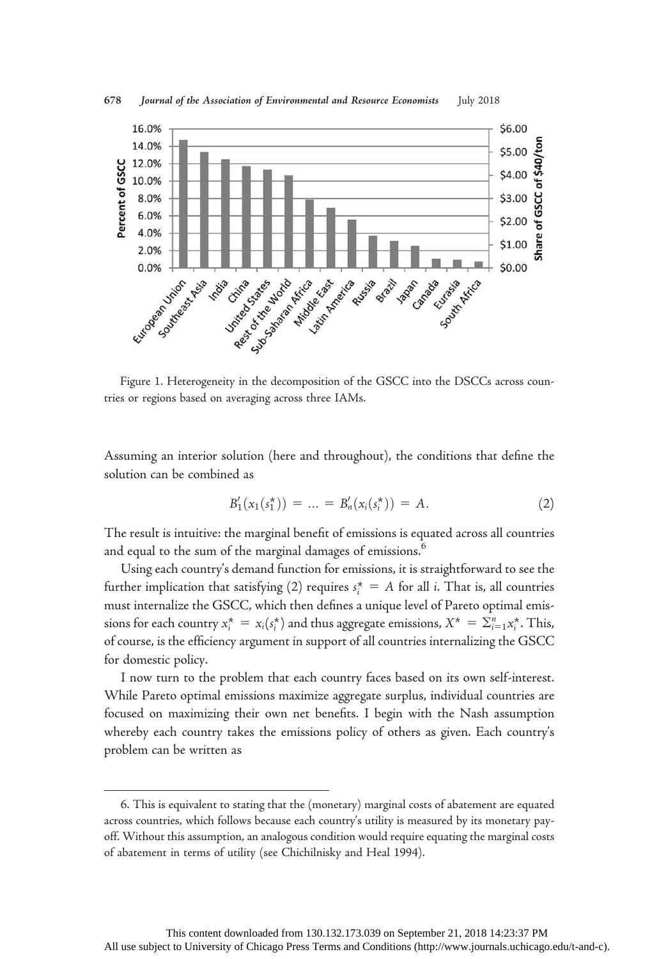

678 Journal of the Association of Environmental and Resource Economists July 2018

Figure 1. Heterogeneity in the decomposition of the GSCC into the DSCCs across countries or regions based on averaging across three IAMs.

Assuming an interior solution (here and throughout), the conditions that define the solution can be combined as

$$
B'_1(x_1(s_1^*)) = \dots = B'_n(x_i(s_i^*)) = A.
$$
 (2)

The result is intuitive: the marginal benefit of emissions is equated across all countries and equal to the sum of the marginal damages of emissions.<sup>6</sup>

Using each country's demand function for emissions, it is straightforward to see the further implication that satisfying (2) requires  $s_i^* = A$  for all *i*. That is, all countries must internalize the GSCC, which then defines a unique level of Pareto optimal emissions for each country  $x_i^* = x_i(s_i^*)$  and thus aggregate emissions,  $X^* = \sum_{i=1}^n x_i^*$ . This, of course, is the efficiency argument in support of all countries internalizing the GSCC for domestic policy.

I now turn to the problem that each country faces based on its own self-interest. While Pareto optimal emissions maximize aggregate surplus, individual countries are focused on maximizing their own net benefits. I begin with the Nash assumption whereby each country takes the emissions policy of others as given. Each country's problem can be written as

<sup>6.</sup> This is equivalent to stating that the (monetary) marginal costs of abatement are equated across countries, which follows because each country's utility is measured by its monetary payoff. Without this assumption, an analogous condition would require equating the marginal costs of abatement in terms of utility (see Chichilnisky and Heal 1994).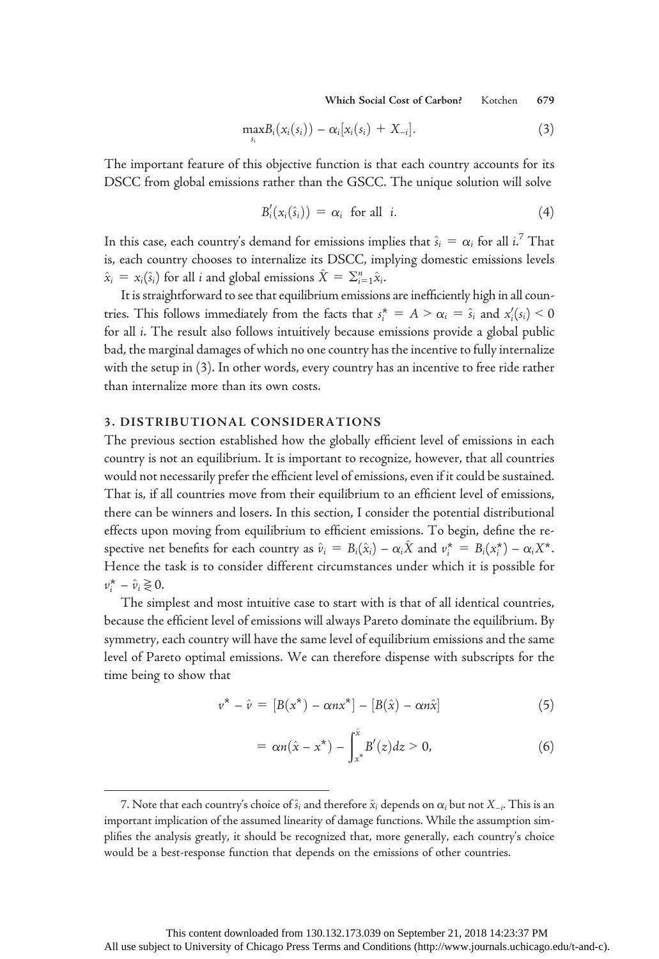Which Social Cost of Carbon? Kotchen 679

$$
\max_{s_i} B_i(x_i(s_i)) - \alpha_i[x_i(s_i) + X_{-i}]. \tag{3}
$$

The important feature of this objective function is that each country accounts for its DSCC from global emissions rather than the GSCC. The unique solution will solve

$$
B'_{i}(x_{i}(\hat{s}_{i})) = \alpha_{i} \text{ for all } i.
$$
 (4)

In this case, each country's demand for emissions implies that  $\hat{s}_i = \alpha_i$  for all  $i$ .<sup>7</sup> That is, each country chooses to internalize its DSCC, implying domestic emissions levels  $\hat{x}_i = x_i(\hat{s}_i)$  for all *i* and global emissions  $\hat{X} = \sum_{i=1}^n \hat{x}_i$ .

It is straightforward to see that equilibrium emissions are inefficiently high in all countries. This follows immediately from the facts that  $s_i^* = A > \alpha_i = \hat{s}_i$  and  $x_i'(s_i) < 0$ for all i. The result also follows intuitively because emissions provide a global public bad, the marginal damages of which no one country has the incentive to fully internalize with the setup in (3). In other words, every country has an incentive to free ride rather than internalize more than its own costs.

## 3. DISTRIBUTIONAL CONSIDERATIONS

The previous section established how the globally efficient level of emissions in each country is not an equilibrium. It is important to recognize, however, that all countries would not necessarily prefer the efficient level of emissions, even if it could be sustained. That is, if all countries move from their equilibrium to an efficient level of emissions, there can be winners and losers. In this section, I consider the potential distributional effects upon moving from equilibrium to efficient emissions. To begin, define the respective net benefits for each country as  $\hat{v}_i = B_i(\hat{x}_i) - \alpha_i\hat{X}$  and  $v_i^* = B_i(x_i^*) - \alpha_iX^*$ . Hence the task is to consider different circumstances under which it is possible for  $v_i^* - \hat{v}_i \gtrless 0.$ 

The simplest and most intuitive case to start with is that of all identical countries, because the efficient level of emissions will always Pareto dominate the equilibrium. By symmetry, each country will have the same level of equilibrium emissions and the same level of Pareto optimal emissions. We can therefore dispense with subscripts for the time being to show that

$$
\nu^* - \hat{\nu} = [B(x^*) - \alpha n x^*] - [B(\hat{x}) - \alpha n \hat{x}] \tag{5}
$$

$$
= \alpha n(\hat{x} - x^*) - \int_{x^*}^{\hat{x}} B'(z) dz > 0,
$$
 (6)

<sup>7.</sup> Note that each country's choice of  $\hat{s}_i$  and therefore  $\hat{x}_i$  depends on  $\alpha_i$  but not  $X_{-i}$ . This is an important implication of the assumed linearity of damage functions. While the assumption simplifies the analysis greatly, it should be recognized that, more generally, each country's choice would be a best-response function that depends on the emissions of other countries.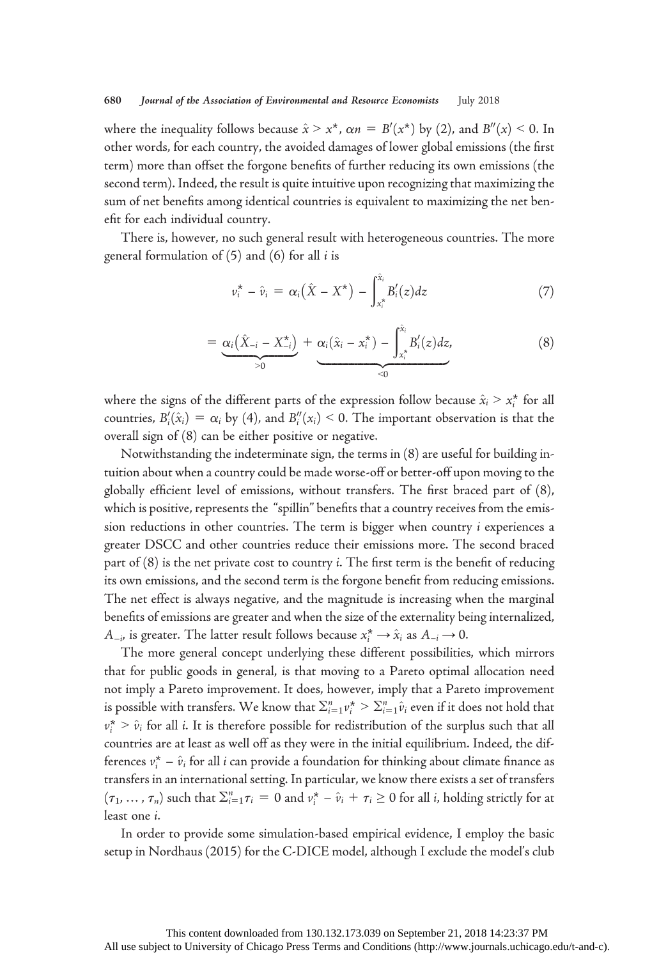where the inequality follows because  $\hat{x} > x^*$ ,  $\alpha n = B'(x^*)$  by (2), and  $B''(x) \le 0$ . In other words, for each country, the avoided damages of lower global emissions (the first term) more than offset the forgone benefits of further reducing its own emissions (the second term). Indeed, the result is quite intuitive upon recognizing that maximizing the sum of net benefits among identical countries is equivalent to maximizing the net benefit for each individual country.

There is, however, no such general result with heterogeneous countries. The more general formulation of  $(5)$  and  $(6)$  for all *i* is

$$
\nu_i^* - \hat{\nu}_i = \alpha_i(\hat{X} - X^*) - \int_{x_i^*}^{\hat{x}_i} B_i'(z) dz \tag{7}
$$

$$
= \underbrace{\alpha_i(\hat{X}_{-i} - X_{-i}^*)}_{>0} + \underbrace{\alpha_i(\hat{x}_i - x_i^*)}_{<0} - \int_{x_i^*}^{\hat{x}_i} B_i'(z) dz, \tag{8}
$$

where the signs of the different parts of the expression follow because  $\hat{x}_i > x_i^*$  for all countries,  $B_i'(\hat{x}_i) = \alpha_i$  by (4), and  $B_i''(x_i) \le 0$ . The important observation is that the overall sign of (8) can be either positive or negative.

Notwithstanding the indeterminate sign, the terms in (8) are useful for building intuition about when a country could be made worse-off or better-off upon moving to the globally efficient level of emissions, without transfers. The first braced part of (8), which is positive, represents the "spillin" benefits that a country receives from the emission reductions in other countries. The term is bigger when country i experiences a greater DSCC and other countries reduce their emissions more. The second braced part of  $(8)$  is the net private cost to country *i*. The first term is the benefit of reducing its own emissions, and the second term is the forgone benefit from reducing emissions. The net effect is always negative, and the magnitude is increasing when the marginal benefits of emissions are greater and when the size of the externality being internalized,  $A_{-i}$ , is greater. The latter result follows because  $x_i^* \rightarrow \hat{x}_i$  as  $A_{-i} \rightarrow 0$ .

The more general concept underlying these different possibilities, which mirrors that for public goods in general, is that moving to a Pareto optimal allocation need not imply a Pareto improvement. It does, however, imply that a Pareto improvement is possible with transfers. We know that  $\sum_{i=1}^{n} v_i^* > \sum_{i=1}^{n} \hat{v}_i$  even if it does not hold that  $v_i^*$  >  $\hat{v}_i$  for all *i*. It is therefore possible for redistribution of the surplus such that all countries are at least as well off as they were in the initial equilibrium. Indeed, the differences  $v_i^* - \hat{v}_i$  for all i can provide a foundation for thinking about climate finance as transfers in an international setting. In particular, we know there exists a set of transfers  $(\tau_1, ..., \tau_n)$  such that  $\sum_{i=1}^n \tau_i = 0$  and  $v_i^* - \hat{v}_i + \tau_i \ge 0$  for all *i*, holding strictly for at least one i.

In order to provide some simulation-based empirical evidence, I employ the basic setup in Nordhaus (2015) for the C-DICE model, although I exclude the model's club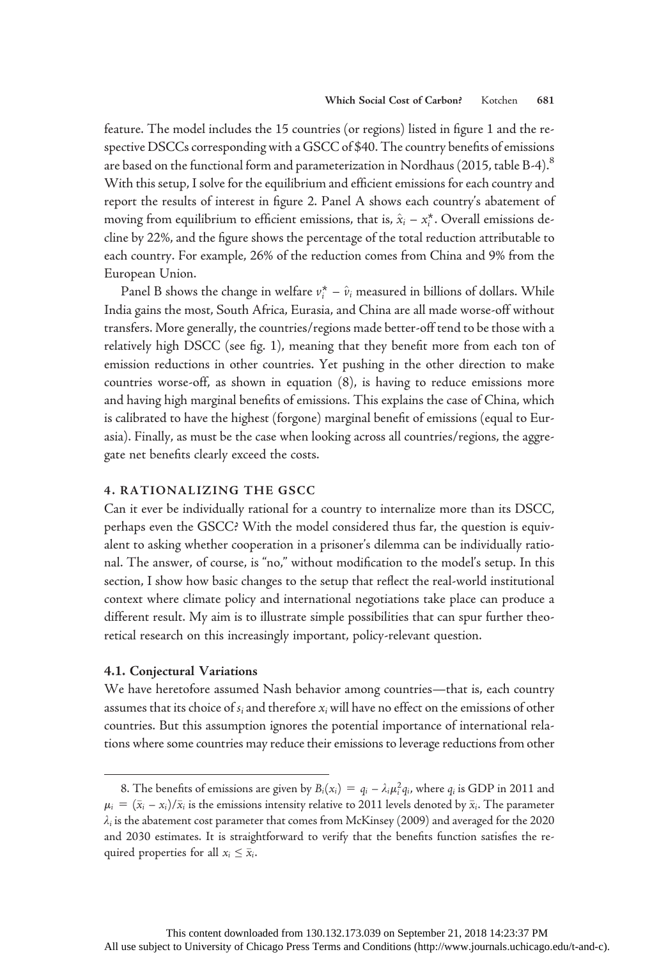feature. The model includes the 15 countries (or regions) listed in figure 1 and the respective DSCCs corresponding with a GSCC of \$40. The country benefits of emissions are based on the functional form and parameterization in Nordhaus (2015, table B-4). $^8$ With this setup, I solve for the equilibrium and efficient emissions for each country and report the results of interest in figure 2. Panel A shows each country's abatement of moving from equilibrium to efficient emissions, that is,  $\hat{x}_i - x_i^*$ . Overall emissions decline by 22%, and the figure shows the percentage of the total reduction attributable to each country. For example, 26% of the reduction comes from China and 9% from the European Union.

Panel B shows the change in welfare  $v_i^* - \hat{v}_i$  measured in billions of dollars. While India gains the most, South Africa, Eurasia, and China are all made worse-off without transfers. More generally, the countries/regions made better-off tend to be those with a relatively high DSCC (see fig. 1), meaning that they benefit more from each ton of emission reductions in other countries. Yet pushing in the other direction to make countries worse-off, as shown in equation (8), is having to reduce emissions more and having high marginal benefits of emissions. This explains the case of China, which is calibrated to have the highest (forgone) marginal benefit of emissions (equal to Eurasia). Finally, as must be the case when looking across all countries/regions, the aggregate net benefits clearly exceed the costs.

## 4. RATIONALIZING THE GSCC

Can it ever be individually rational for a country to internalize more than its DSCC, perhaps even the GSCC? With the model considered thus far, the question is equivalent to asking whether cooperation in a prisoner's dilemma can be individually rational. The answer, of course, is "no," without modification to the model's setup. In this section, I show how basic changes to the setup that reflect the real-world institutional context where climate policy and international negotiations take place can produce a different result. My aim is to illustrate simple possibilities that can spur further theoretical research on this increasingly important, policy-relevant question.

#### 4.1. Conjectural Variations

We have heretofore assumed Nash behavior among countries—that is, each country assumes that its choice of  $s_i$  and therefore  $x_i$  will have no effect on the emissions of other countries. But this assumption ignores the potential importance of international relations where some countries may reduce their emissions to leverage reductions from other

<sup>8.</sup> The benefits of emissions are given by  $B_i(x_i) = q_i - \lambda_i \mu_i^2 q_i$ , where  $q_i$  is GDP in 2011 and  $\mu_i = (\bar{x}_i - x_i)/\bar{x}_i$  is the emissions intensity relative to 2011 levels denoted by  $\bar{x}_i$ . The parameter  $\lambda_i$  is the abatement cost parameter that comes from McKinsey (2009) and averaged for the 2020 and 2030 estimates. It is straightforward to verify that the benefits function satisfies the required properties for all  $x_i \leq \bar{x}_i$ .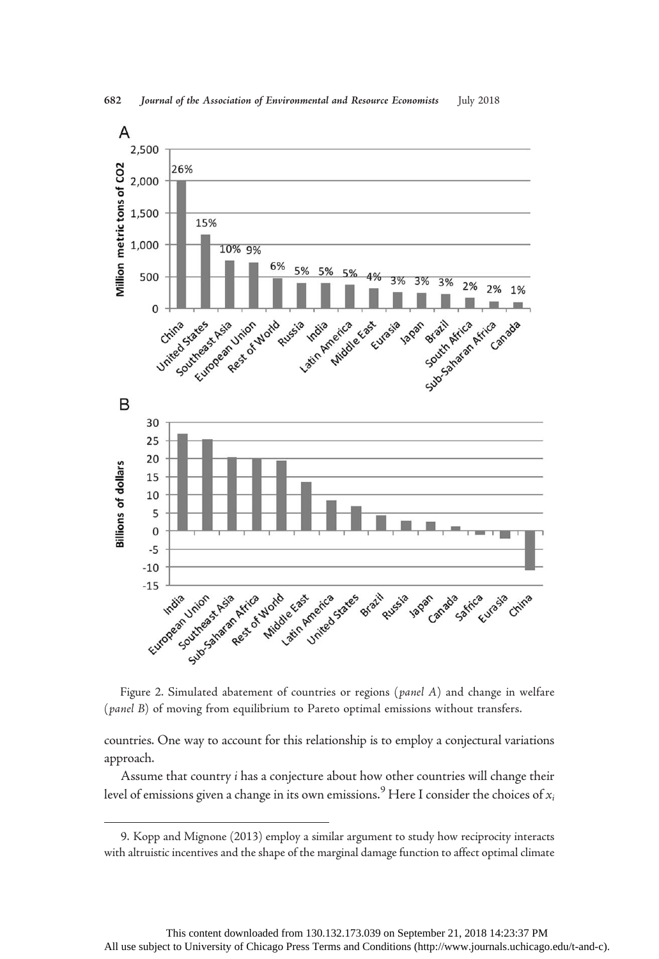

Figure 2. Simulated abatement of countries or regions (panel A) and change in welfare (panel B) of moving from equilibrium to Pareto optimal emissions without transfers.

countries. One way to account for this relationship is to employ a conjectural variations approach.

Assume that country i has a conjecture about how other countries will change their level of emissions given a change in its own emissions.<sup>9</sup> Here I consider the choices of  $x_i$ 

<sup>9.</sup> Kopp and Mignone (2013) employ a similar argument to study how reciprocity interacts with altruistic incentives and the shape of the marginal damage function to affect optimal climate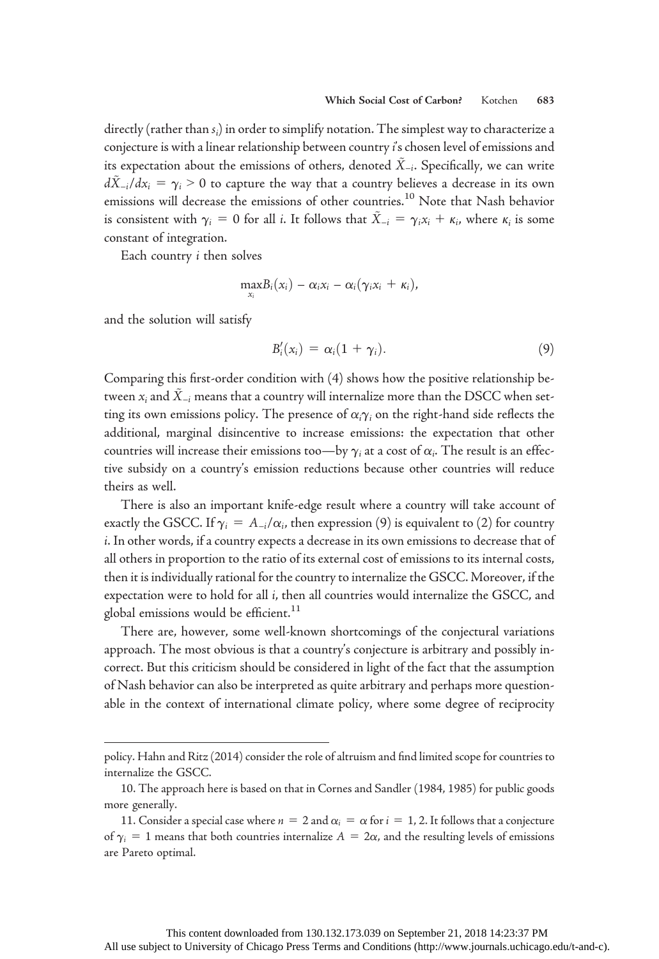directly (rather than  $s_i$ ) in order to simplify notation. The simplest way to characterize a conjecture is with a linear relationship between country i's chosen level of emissions and its expectation about the emissions of others, denoted  $\dot{X}_{-i}$ . Specifically, we can write  $d\tilde{X}_{-i}/dx_i = \gamma_i > 0$  to capture the way that a country believes a decrease in its own emissions will decrease the emissions of other countries.<sup>10</sup> Note that Nash behavior is consistent with  $\gamma_i = 0$  for all *i*. It follows that  $\tilde{X}_{-i} = \gamma_i x_i + \kappa_i$ , where  $\kappa_i$  is some constant of integration.

Each country i then solves

$$
\max_{x_i}B_i(x_i)-\alpha_i x_i-\alpha_i(\gamma_i x_i+\kappa_i),
$$

and the solution will satisfy

$$
B_i'(x_i) = \alpha_i (1 + \gamma_i). \tag{9}
$$

Comparing this first-order condition with (4) shows how the positive relationship between  $x_i$  and  $\tilde{X}_{-i}$  means that a country will internalize more than the DSCC when setting its own emissions policy. The presence of  $\alpha_i \gamma_i$  on the right-hand side reflects the additional, marginal disincentive to increase emissions: the expectation that other countries will increase their emissions too—by  $\gamma_i$  at a cost of  $\alpha_i.$  The result is an effective subsidy on a country's emission reductions because other countries will reduce theirs as well.

There is also an important knife-edge result where a country will take account of exactly the GSCC. If  $\gamma_i = A_{-i}/\alpha_i$ , then expression (9) is equivalent to (2) for country i. In other words, if a country expects a decrease in its own emissions to decrease that of all others in proportion to the ratio of its external cost of emissions to its internal costs, then it is individually rational for the country to internalize the GSCC. Moreover, if the expectation were to hold for all i, then all countries would internalize the GSCC, and global emissions would be efficient.<sup>11</sup>

There are, however, some well-known shortcomings of the conjectural variations approach. The most obvious is that a country's conjecture is arbitrary and possibly incorrect. But this criticism should be considered in light of the fact that the assumption of Nash behavior can also be interpreted as quite arbitrary and perhaps more questionable in the context of international climate policy, where some degree of reciprocity

policy. Hahn and Ritz (2014) consider the role of altruism and find limited scope for countries to internalize the GSCC.

<sup>10.</sup> The approach here is based on that in Cornes and Sandler (1984, 1985) for public goods more generally.

<sup>11.</sup> Consider a special case where  $n = 2$  and  $\alpha_i = \alpha$  for  $i = 1, 2$ . It follows that a conjecture of  $\gamma_i = 1$  means that both countries internalize  $A = 2\alpha$ , and the resulting levels of emissions are Pareto optimal.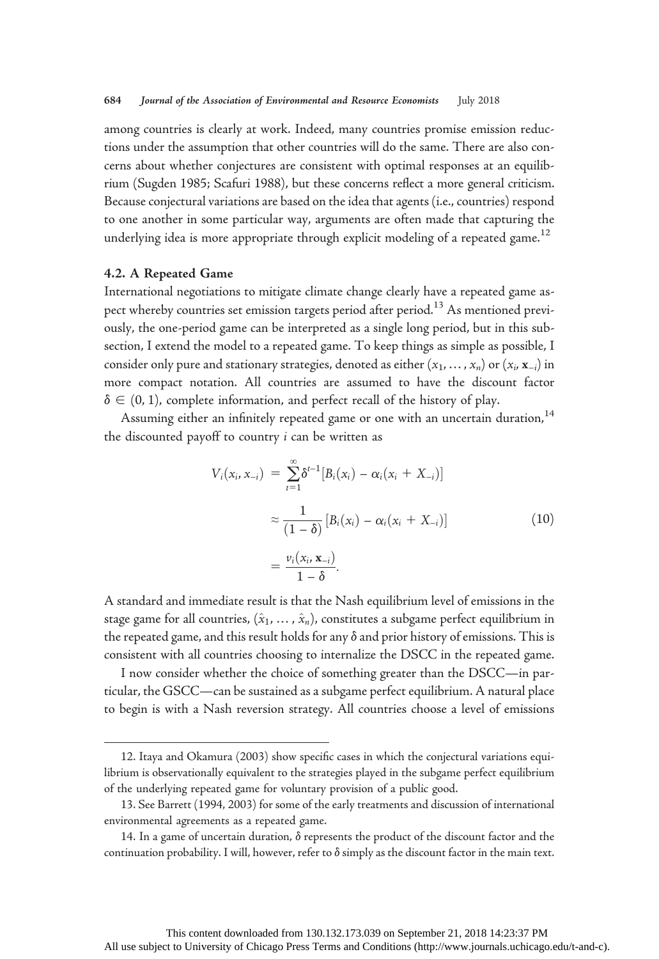among countries is clearly at work. Indeed, many countries promise emission reductions under the assumption that other countries will do the same. There are also concerns about whether conjectures are consistent with optimal responses at an equilibrium (Sugden 1985; Scafuri 1988), but these concerns reflect a more general criticism. Because conjectural variations are based on the idea that agents (i.e., countries) respond to one another in some particular way, arguments are often made that capturing the underlying idea is more appropriate through explicit modeling of a repeated game.<sup>12</sup>

#### 4.2. A Repeated Game

International negotiations to mitigate climate change clearly have a repeated game aspect whereby countries set emission targets period after period.<sup>13</sup> As mentioned previously, the one-period game can be interpreted as a single long period, but in this subsection, I extend the model to a repeated game. To keep things as simple as possible, I consider only pure and stationary strategies, denoted as either  $(x_1, ..., x_n)$  or  $(x_i, x_{-i})$  in more compact notation. All countries are assumed to have the discount factor  $\delta \in (0, 1)$ , complete information, and perfect recall of the history of play.

Assuming either an infinitely repeated game or one with an uncertain duration,<sup>14</sup> the discounted payoff to country i can be written as

$$
V_i(x_i, x_{-i}) = \sum_{i=1}^{\infty} \delta^{t-1} [B_i(x_i) - \alpha_i (x_i + X_{-i})]
$$
  

$$
\approx \frac{1}{(1 - \delta)} [B_i(x_i) - \alpha_i (x_i + X_{-i})]
$$
  

$$
= \frac{v_i(x_i, x_{-i})}{1 - \delta}.
$$
 (10)

A standard and immediate result is that the Nash equilibrium level of emissions in the stage game for all countries,  $(\hat{x}_1, ..., \hat{x}_n)$ , constitutes a subgame perfect equilibrium in the repeated game, and this result holds for any  $\delta$  and prior history of emissions. This is consistent with all countries choosing to internalize the DSCC in the repeated game.

I now consider whether the choice of something greater than the DSCC—in particular, the GSCC—can be sustained as a subgame perfect equilibrium. A natural place to begin is with a Nash reversion strategy. All countries choose a level of emissions

<sup>12.</sup> Itaya and Okamura (2003) show specific cases in which the conjectural variations equilibrium is observationally equivalent to the strategies played in the subgame perfect equilibrium of the underlying repeated game for voluntary provision of a public good.

<sup>13.</sup> See Barrett (1994, 2003) for some of the early treatments and discussion of international environmental agreements as a repeated game.

<sup>14.</sup> In a game of uncertain duration,  $\delta$  represents the product of the discount factor and the continuation probability. I will, however, refer to  $\delta$  simply as the discount factor in the main text.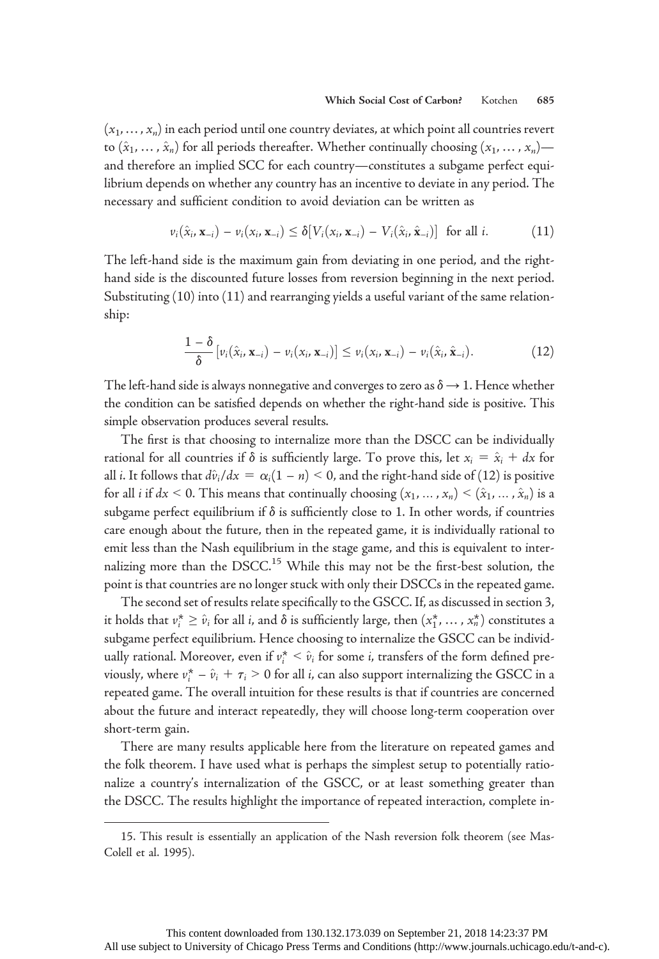$(x_1,...,x_n)$  in each period until one country deviates, at which point all countries revert to  $(\hat{x}_1, \ldots, \hat{x}_n)$  for all periods thereafter. Whether continually choosing  $(x_1, \ldots, x_n)$  and therefore an implied SCC for each country—constitutes a subgame perfect equilibrium depends on whether any country has an incentive to deviate in any period. The necessary and sufficient condition to avoid deviation can be written as

$$
\nu_i(\hat{x}_i, \mathbf{x}_{-i}) - \nu_i(x_i, \mathbf{x}_{-i}) \leq \delta[V_i(x_i, \mathbf{x}_{-i}) - V_i(\hat{x}_i, \hat{\mathbf{x}}_{-i})] \text{ for all } i. \tag{11}
$$

The left-hand side is the maximum gain from deviating in one period, and the righthand side is the discounted future losses from reversion beginning in the next period. Substituting (10) into (11) and rearranging yields a useful variant of the same relationship:

$$
\frac{1-\delta}{\delta}\big[\nu_i(\hat{x}_i,\mathbf{x}_{-i})-\nu_i(x_i,\mathbf{x}_{-i})\big]\leq \nu_i(x_i,\mathbf{x}_{-i})-\nu_i(\hat{x}_i,\hat{\mathbf{x}}_{-i}).
$$
\n(12)

The left-hand side is always nonnegative and converges to zero as  $\delta \rightarrow 1$ . Hence whether the condition can be satisfied depends on whether the right-hand side is positive. This simple observation produces several results.

The first is that choosing to internalize more than the DSCC can be individually rational for all countries if  $\delta$  is sufficiently large. To prove this, let  $x_i = \hat{x}_i + dx$  for all *i*. It follows that  $d\hat{v}_i/dx = \alpha_i(1 - n) < 0$ , and the right-hand side of (12) is positive for all *i* if  $dx < 0$ . This means that continually choosing  $(x_1, ..., x_n) < (\hat{x}_1, ..., \hat{x}_n)$  is a subgame perfect equilibrium if  $\delta$  is sufficiently close to 1. In other words, if countries care enough about the future, then in the repeated game, it is individually rational to emit less than the Nash equilibrium in the stage game, and this is equivalent to internalizing more than the  $DSCC<sup>15</sup>$  While this may not be the first-best solution, the point is that countries are no longer stuck with only their DSCCs in the repeated game.

The second set of results relate specifically to the GSCC. If, as discussed in section 3, it holds that  $v_i^* \ge \hat{v}_i$  for all i, and  $\delta$  is sufficiently large, then  $(x_1^*, \ldots, x_n^*)$  constitutes a subgame perfect equilibrium. Hence choosing to internalize the GSCC can be individually rational. Moreover, even if  $v_i^* < \hat{v}_i$  for some *i*, transfers of the form defined previously, where  $v_i^* - \hat{v}_i + \tau_i > 0$  for all *i*, can also support internalizing the GSCC in a repeated game. The overall intuition for these results is that if countries are concerned about the future and interact repeatedly, they will choose long-term cooperation over short-term gain.

There are many results applicable here from the literature on repeated games and the folk theorem. I have used what is perhaps the simplest setup to potentially rationalize a country's internalization of the GSCC, or at least something greater than the DSCC. The results highlight the importance of repeated interaction, complete in-

<sup>15.</sup> This result is essentially an application of the Nash reversion folk theorem (see Mas-Colell et al. 1995).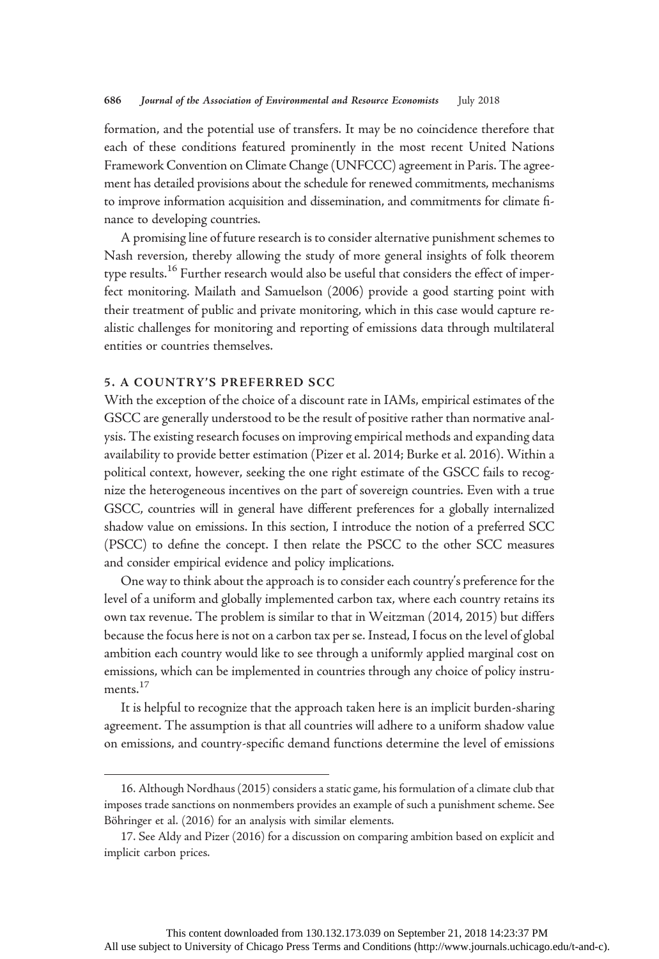formation, and the potential use of transfers. It may be no coincidence therefore that each of these conditions featured prominently in the most recent United Nations Framework Convention on Climate Change (UNFCCC) agreement in Paris. The agreement has detailed provisions about the schedule for renewed commitments, mechanisms to improve information acquisition and dissemination, and commitments for climate finance to developing countries.

A promising line of future research is to consider alternative punishment schemes to Nash reversion, thereby allowing the study of more general insights of folk theorem type results.<sup>16</sup> Further research would also be useful that considers the effect of imperfect monitoring. Mailath and Samuelson (2006) provide a good starting point with their treatment of public and private monitoring, which in this case would capture realistic challenges for monitoring and reporting of emissions data through multilateral entities or countries themselves.

## 5. A COUNTRY'S PREFERRED SCC

With the exception of the choice of a discount rate in IAMs, empirical estimates of the GSCC are generally understood to be the result of positive rather than normative analysis. The existing research focuses on improving empirical methods and expanding data availability to provide better estimation (Pizer et al. 2014; Burke et al. 2016). Within a political context, however, seeking the one right estimate of the GSCC fails to recognize the heterogeneous incentives on the part of sovereign countries. Even with a true GSCC, countries will in general have different preferences for a globally internalized shadow value on emissions. In this section, I introduce the notion of a preferred SCC (PSCC) to define the concept. I then relate the PSCC to the other SCC measures and consider empirical evidence and policy implications.

One way to think about the approach is to consider each country's preference for the level of a uniform and globally implemented carbon tax, where each country retains its own tax revenue. The problem is similar to that in Weitzman (2014, 2015) but differs because the focus here is not on a carbon tax per se. Instead, I focus on the level of global ambition each country would like to see through a uniformly applied marginal cost on emissions, which can be implemented in countries through any choice of policy instruments.<sup>17</sup>

It is helpful to recognize that the approach taken here is an implicit burden-sharing agreement. The assumption is that all countries will adhere to a uniform shadow value on emissions, and country-specific demand functions determine the level of emissions

<sup>16.</sup> Although Nordhaus (2015) considers a static game, his formulation of a climate club that imposes trade sanctions on nonmembers provides an example of such a punishment scheme. See Böhringer et al. (2016) for an analysis with similar elements.

<sup>17.</sup> See Aldy and Pizer (2016) for a discussion on comparing ambition based on explicit and implicit carbon prices.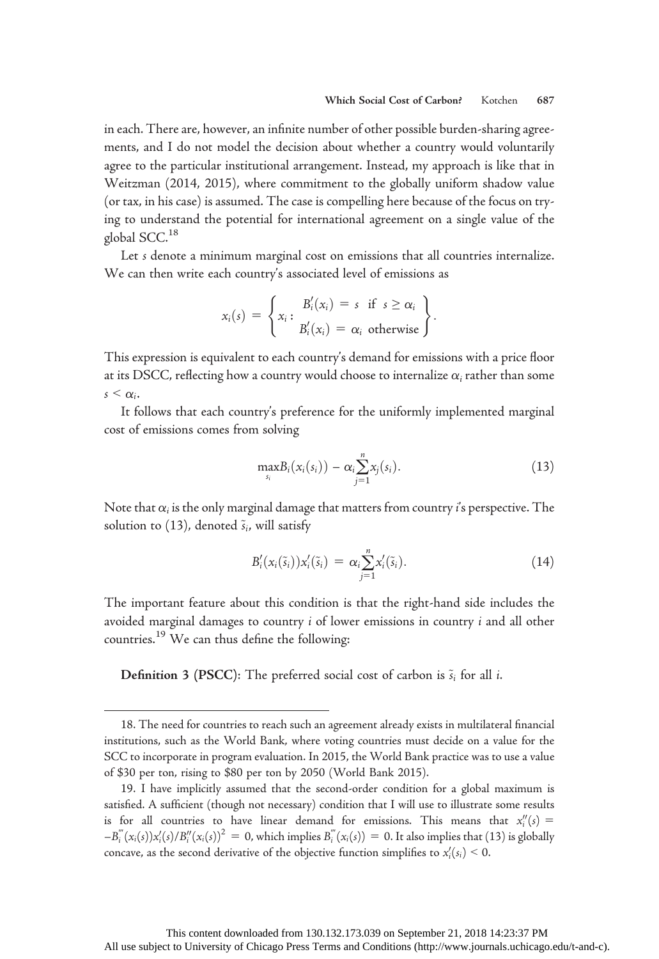in each. There are, however, an infinite number of other possible burden-sharing agreements, and I do not model the decision about whether a country would voluntarily agree to the particular institutional arrangement. Instead, my approach is like that in Weitzman (2014, 2015), where commitment to the globally uniform shadow value (or tax, in his case) is assumed. The case is compelling here because of the focus on trying to understand the potential for international agreement on a single value of the global SCC.<sup>18</sup>

Let *s* denote a minimum marginal cost on emissions that all countries internalize. We can then write each country's associated level of emissions as

$$
x_i(s) = \left\{ x_i : \begin{aligned} B'_i(x_i) &= s \text{ if } s \ge \alpha_i \\ B'_i(x_i) &= \alpha_i \text{ otherwise} \end{aligned} \right\}.
$$

This expression is equivalent to each country's demand for emissions with a price floor at its DSCC, reflecting how a country would choose to internalize  $\alpha_i$  rather than some  $s \leq \alpha_i$ .

It follows that each country's preference for the uniformly implemented marginal cost of emissions comes from solving

$$
\max_{s_i} B_i(x_i(s_i)) - \alpha_i \sum_{j=1}^n x_j(s_i). \tag{13}
$$

Note that  $\alpha_i$  is the only marginal damage that matters from country i's perspective. The solution to (13), denoted  $\tilde{s}_i$ , will satisfy

$$
B_i'(x_i(\tilde{s}_i))x_i'(\tilde{s}_i) = \alpha_i \sum_{j=1}^n x_i'(\tilde{s}_i).
$$
 (14)

The important feature about this condition is that the right-hand side includes the avoided marginal damages to country i of lower emissions in country i and all other countries.<sup>19</sup> We can thus define the following:

**Definition 3 (PSCC):** The preferred social cost of carbon is  $\tilde{s}_i$  for all *i*.

<sup>18.</sup> The need for countries to reach such an agreement already exists in multilateral financial institutions, such as the World Bank, where voting countries must decide on a value for the SCC to incorporate in program evaluation. In 2015, the World Bank practice was to use a value of \$30 per ton, rising to \$80 per ton by 2050 (World Bank 2015).

<sup>19.</sup> I have implicitly assumed that the second-order condition for a global maximum is satisfied. A sufficient (though not necessary) condition that I will use to illustrate some results is for all countries to have linear demand for emissions. This means that  $x_i''(s) =$  $-B_i^{'''}(x_i(s))x_i'(s)/B_i''(x_i(s))^2 = 0$ , which implies  $B_i^{'''}(x_i(s)) = 0$ . It also implies that (13) is globally concave, as the second derivative of the objective function simplifies to  $x'_i(s_i) \leq 0$ .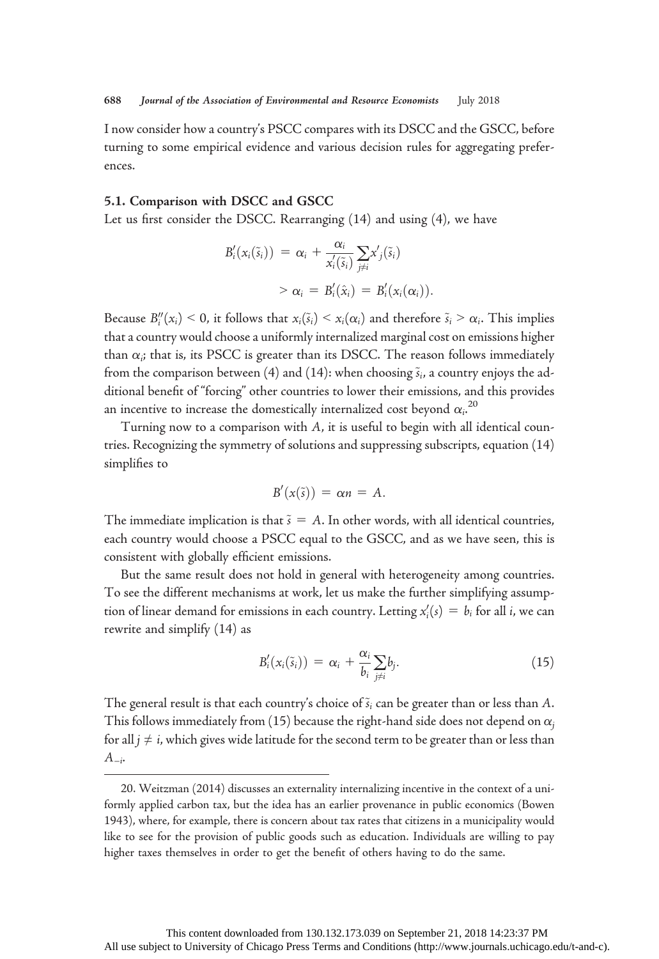I now consider how a country's PSCC compares with its DSCC and the GSCC, before turning to some empirical evidence and various decision rules for aggregating preferences.

## 5.1. Comparison with DSCC and GSCC

Let us first consider the DSCC. Rearranging (14) and using (4), we have

$$
B'_{i}(x_{i}(\tilde{s}_{i})) = \alpha_{i} + \frac{\alpha_{i}}{x'_{i}(\tilde{s}_{i})} \sum_{j \neq i} x'_{j}(\tilde{s}_{i})
$$
  
>  $\alpha_{i} = B'_{i}(\hat{x}_{i}) = B'_{i}(x_{i}(\alpha_{i})).$ 

Because  $B_i''(x_i) \leq 0$ , it follows that  $x_i(\tilde{s}_i) \leq x_i(\alpha_i)$  and therefore  $\tilde{s}_i \geq \alpha_i$ . This implies that a country would choose a uniformly internalized marginal cost on emissions higher than  $\alpha_i$ ; that is, its PSCC is greater than its DSCC. The reason follows immediately from the comparison between (4) and (14): when choosing  $\tilde{s}_i$ , a country enjoys the additional benefit of "forcing" other countries to lower their emissions, and this provides an incentive to increase the domestically internalized cost beyond  $\alpha_i^{20}$ 

Turning now to a comparison with A, it is useful to begin with all identical countries. Recognizing the symmetry of solutions and suppressing subscripts, equation (14) simplifies to

$$
B'(x(\tilde{s})) = \alpha n = A.
$$

The immediate implication is that  $\tilde{s} = A$ . In other words, with all identical countries, each country would choose a PSCC equal to the GSCC, and as we have seen, this is consistent with globally efficient emissions.

But the same result does not hold in general with heterogeneity among countries. To see the different mechanisms at work, let us make the further simplifying assumption of linear demand for emissions in each country. Letting  $x_i'(s) = b_i$  for all i, we can rewrite and simplify (14) as

$$
B'_{i}(x_{i}(\tilde{s}_{i})) = \alpha_{i} + \frac{\alpha_{i}}{b_{i}} \sum_{j \neq i} b_{j}.
$$
 (15)

The general result is that each country's choice of  $\tilde{s}_i$  can be greater than or less than A. This follows immediately from (15) because the right-hand side does not depend on  $\alpha_i$ for all  $j \neq i$ , which gives wide latitude for the second term to be greater than or less than  $A_{-i^*}$ 

<sup>20.</sup> Weitzman (2014) discusses an externality internalizing incentive in the context of a uniformly applied carbon tax, but the idea has an earlier provenance in public economics (Bowen 1943), where, for example, there is concern about tax rates that citizens in a municipality would like to see for the provision of public goods such as education. Individuals are willing to pay higher taxes themselves in order to get the benefit of others having to do the same.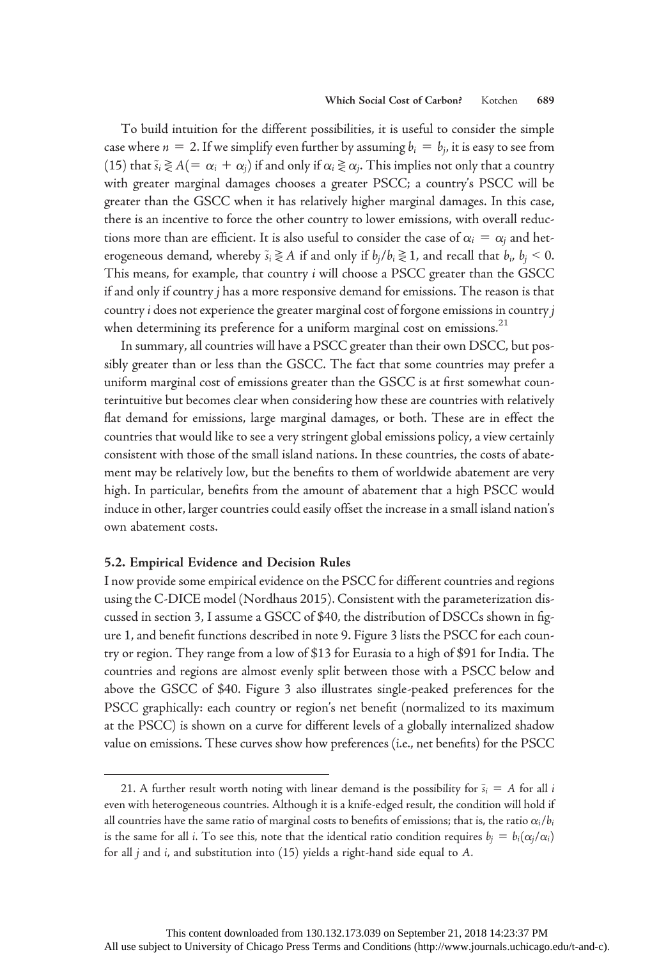To build intuition for the different possibilities, it is useful to consider the simple case where  $n = 2$ . If we simplify even further by assuming  $b_i = b_i$ , it is easy to see from (15) that  $\tilde{s}_i \gtrless A(=\alpha_i + \alpha_j)$  if and only if  $\alpha_i \gtrless \alpha_j$ . This implies not only that a country with greater marginal damages chooses a greater PSCC; a country's PSCC will be greater than the GSCC when it has relatively higher marginal damages. In this case, there is an incentive to force the other country to lower emissions, with overall reductions more than are efficient. It is also useful to consider the case of  $\alpha_i = \alpha_i$  and heterogeneous demand, whereby  $\tilde{s}_i \gtrless A$  if and only if  $b_j/b_i \gtrless 1$ , and recall that  $b_i$ ,  $b_j < 0$ . This means, for example, that country *i* will choose a PSCC greater than the GSCC if and only if country j has a more responsive demand for emissions. The reason is that country i does not experience the greater marginal cost of forgone emissions in country j when determining its preference for a uniform marginal cost on emissions.<sup>21</sup>

In summary, all countries will have a PSCC greater than their own DSCC, but possibly greater than or less than the GSCC. The fact that some countries may prefer a uniform marginal cost of emissions greater than the GSCC is at first somewhat counterintuitive but becomes clear when considering how these are countries with relatively flat demand for emissions, large marginal damages, or both. These are in effect the countries that would like to see a very stringent global emissions policy, a view certainly consistent with those of the small island nations. In these countries, the costs of abatement may be relatively low, but the benefits to them of worldwide abatement are very high. In particular, benefits from the amount of abatement that a high PSCC would induce in other, larger countries could easily offset the increase in a small island nation's own abatement costs.

### 5.2. Empirical Evidence and Decision Rules

I now provide some empirical evidence on the PSCC for different countries and regions using the C-DICE model (Nordhaus 2015). Consistent with the parameterization discussed in section 3, I assume a GSCC of \$40, the distribution of DSCCs shown in figure 1, and benefit functions described in note 9. Figure 3 lists the PSCC for each country or region. They range from a low of \$13 for Eurasia to a high of \$91 for India. The countries and regions are almost evenly split between those with a PSCC below and above the GSCC of \$40. Figure 3 also illustrates single-peaked preferences for the PSCC graphically: each country or region's net benefit (normalized to its maximum at the PSCC) is shown on a curve for different levels of a globally internalized shadow value on emissions. These curves show how preferences (i.e., net benefits) for the PSCC

<sup>21.</sup> A further result worth noting with linear demand is the possibility for  $\tilde{s}_i = A$  for all i even with heterogeneous countries. Although it is a knife-edged result, the condition will hold if all countries have the same ratio of marginal costs to benefits of emissions; that is, the ratio  $\alpha_i/b_i$ is the same for all *i*. To see this, note that the identical ratio condition requires  $b_i = b_i(\alpha_i/\alpha_i)$ for all j and i, and substitution into (15) yields a right-hand side equal to A.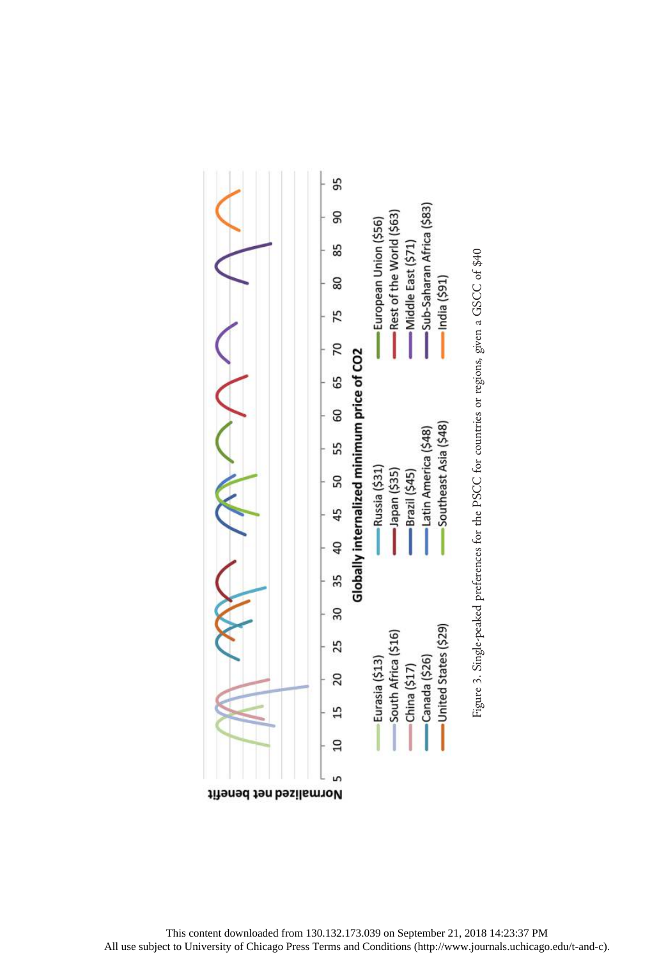

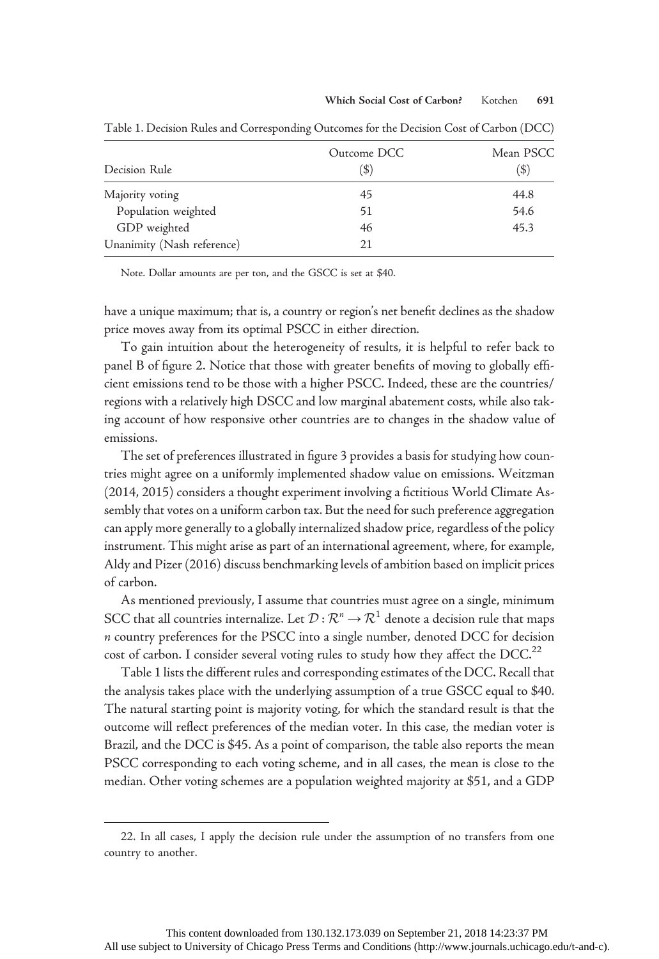| Decision Rule              | Outcome DCC<br>(\$) | Mean PSCC<br>$($ \$) |
|----------------------------|---------------------|----------------------|
|                            |                     |                      |
| Population weighted        | 51                  | 54.6                 |
| GDP weighted               | 46                  | 45.3                 |
| Unanimity (Nash reference) | 21                  |                      |

Table 1. Decision Rules and Corresponding Outcomes for the Decision Cost of Carbon (DCC)

Note. Dollar amounts are per ton, and the GSCC is set at \$40.

have a unique maximum; that is, a country or region's net benefit declines as the shadow price moves away from its optimal PSCC in either direction.

To gain intuition about the heterogeneity of results, it is helpful to refer back to panel B of figure 2. Notice that those with greater benefits of moving to globally efficient emissions tend to be those with a higher PSCC. Indeed, these are the countries/ regions with a relatively high DSCC and low marginal abatement costs, while also taking account of how responsive other countries are to changes in the shadow value of emissions.

The set of preferences illustrated in figure 3 provides a basis for studying how countries might agree on a uniformly implemented shadow value on emissions. Weitzman (2014, 2015) considers a thought experiment involving a fictitious World Climate Assembly that votes on a uniform carbon tax. But the need for such preference aggregation can apply more generally to a globally internalized shadow price, regardless of the policy instrument. This might arise as part of an international agreement, where, for example, Aldy and Pizer (2016) discuss benchmarking levels of ambition based on implicit prices of carbon.

As mentioned previously, I assume that countries must agree on a single, minimum SCC that all countries internalize. Let  $\mathcal{D}: \mathcal{R}^n \to \mathcal{R}^1$  denote a decision rule that maps n country preferences for the PSCC into a single number, denoted DCC for decision cost of carbon. I consider several voting rules to study how they affect the DCC. $^{22}$ 

Table 1 lists the different rules and corresponding estimates of the DCC. Recall that the analysis takes place with the underlying assumption of a true GSCC equal to \$40. The natural starting point is majority voting, for which the standard result is that the outcome will reflect preferences of the median voter. In this case, the median voter is Brazil, and the DCC is \$45. As a point of comparison, the table also reports the mean PSCC corresponding to each voting scheme, and in all cases, the mean is close to the median. Other voting schemes are a population weighted majority at \$51, and a GDP

<sup>22.</sup> In all cases, I apply the decision rule under the assumption of no transfers from one country to another.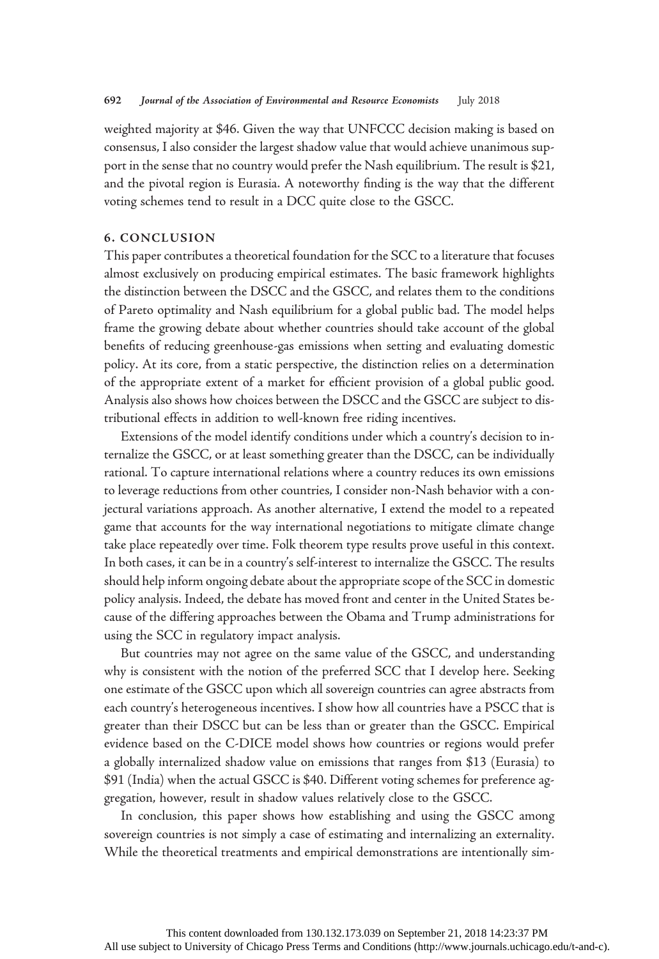weighted majority at \$46. Given the way that UNFCCC decision making is based on consensus, I also consider the largest shadow value that would achieve unanimous support in the sense that no country would prefer the Nash equilibrium. The result is \$21, and the pivotal region is Eurasia. A noteworthy finding is the way that the different voting schemes tend to result in a DCC quite close to the GSCC.

## 6. CONCLUSION

This paper contributes a theoretical foundation for the SCC to a literature that focuses almost exclusively on producing empirical estimates. The basic framework highlights the distinction between the DSCC and the GSCC, and relates them to the conditions of Pareto optimality and Nash equilibrium for a global public bad. The model helps frame the growing debate about whether countries should take account of the global benefits of reducing greenhouse-gas emissions when setting and evaluating domestic policy. At its core, from a static perspective, the distinction relies on a determination of the appropriate extent of a market for efficient provision of a global public good. Analysis also shows how choices between the DSCC and the GSCC are subject to distributional effects in addition to well-known free riding incentives.

Extensions of the model identify conditions under which a country's decision to internalize the GSCC, or at least something greater than the DSCC, can be individually rational. To capture international relations where a country reduces its own emissions to leverage reductions from other countries, I consider non-Nash behavior with a conjectural variations approach. As another alternative, I extend the model to a repeated game that accounts for the way international negotiations to mitigate climate change take place repeatedly over time. Folk theorem type results prove useful in this context. In both cases, it can be in a country's self-interest to internalize the GSCC. The results should help inform ongoing debate about the appropriate scope of the SCC in domestic policy analysis. Indeed, the debate has moved front and center in the United States because of the differing approaches between the Obama and Trump administrations for using the SCC in regulatory impact analysis.

But countries may not agree on the same value of the GSCC, and understanding why is consistent with the notion of the preferred SCC that I develop here. Seeking one estimate of the GSCC upon which all sovereign countries can agree abstracts from each country's heterogeneous incentives. I show how all countries have a PSCC that is greater than their DSCC but can be less than or greater than the GSCC. Empirical evidence based on the C-DICE model shows how countries or regions would prefer a globally internalized shadow value on emissions that ranges from \$13 (Eurasia) to \$91 (India) when the actual GSCC is \$40. Different voting schemes for preference aggregation, however, result in shadow values relatively close to the GSCC.

In conclusion, this paper shows how establishing and using the GSCC among sovereign countries is not simply a case of estimating and internalizing an externality. While the theoretical treatments and empirical demonstrations are intentionally sim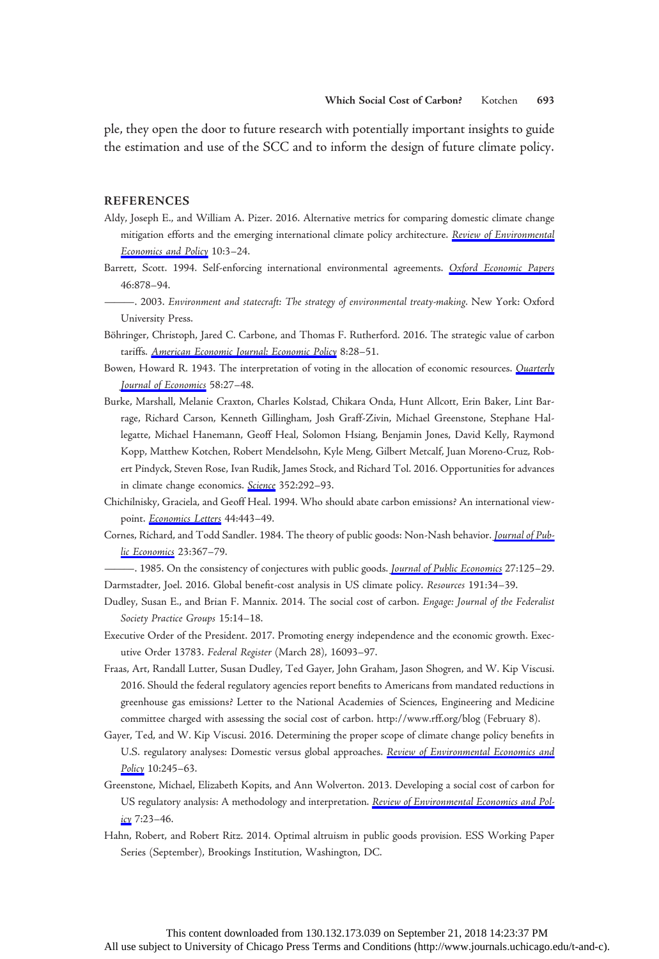ple, they open the door to future research with potentially important insights to guide the estimation and use of the SCC and to inform the design of future climate policy.

#### REFERENCES

- Aldy, Joseph E., and William A. Pizer. 2016. Alternative metrics for comparing domestic climate change mitigation efforts and the emerging international climate policy architecture. [Review of Environmental](https://www.journals.uchicago.edu/action/showLinks?doi=10.1086%2F697241&crossref=10.1093%2Freep%2Frev013&citationId=p_28) [Economics and Policy](https://www.journals.uchicago.edu/action/showLinks?doi=10.1086%2F697241&crossref=10.1093%2Freep%2Frev013&citationId=p_28) 10:3-24.
- Barrett, Scott. 1994. Self-enforcing international environmental agreements. [Oxford Economic Papers](https://www.journals.uchicago.edu/action/showLinks?doi=10.1086%2F697241&crossref=10.1093%2Foep%2F46.Supplement_1.878&citationId=p_29) 46:878–94.
- ———. 2003. Environment and statecraft: The strategy of environmental treaty-making. New York: Oxford University Press.
- Böhringer, Christoph, Jared C. Carbone, and Thomas F. Rutherford. 2016. The strategic value of carbon tariffs. [American Economic Journal: Economic Policy](https://www.journals.uchicago.edu/action/showLinks?doi=10.1086%2F697241&crossref=10.1257%2Fpol.20130327&citationId=p_31) 8:28-51.
- Bowen, Howard R. 1943. The interpretation of voting in the allocation of economic resources. *[Quarterly](https://www.journals.uchicago.edu/action/showLinks?doi=10.1086%2F697241&crossref=10.2307%2F1885754&citationId=p_32)* [Journal of Economics](https://www.journals.uchicago.edu/action/showLinks?doi=10.1086%2F697241&crossref=10.2307%2F1885754&citationId=p_32) 58:27–48.
- Burke, Marshall, Melanie Craxton, Charles Kolstad, Chikara Onda, Hunt Allcott, Erin Baker, Lint Barrage, Richard Carson, Kenneth Gillingham, Josh Graff-Zivin, Michael Greenstone, Stephane Hallegatte, Michael Hanemann, Geoff Heal, Solomon Hsiang, Benjamin Jones, David Kelly, Raymond Kopp, Matthew Kotchen, Robert Mendelsohn, Kyle Meng, Gilbert Metcalf, Juan Moreno-Cruz, Robert Pindyck, Steven Rose, Ivan Rudik, James Stock, and Richard Tol. 2016. Opportunities for advances in climate change economics. [Science](https://www.journals.uchicago.edu/action/showLinks?doi=10.1086%2F697241&crossref=10.1126%2Fscience.aad9634&citationId=p_33) 352:292-93.
- Chichilnisky, Graciela, and Geoff Heal. 1994. Who should abate carbon emissions? An international view-point. [Economics Letters](https://www.journals.uchicago.edu/action/showLinks?doi=10.1086%2F697241&crossref=10.1016%2F0165-1765%2894%2990119-8&citationId=p_34) 44:443-49.
- Cornes, Richard, and Todd Sandler. 1984. The theory of public goods: Non-Nash behavior. [Journal of Pub](https://www.journals.uchicago.edu/action/showLinks?doi=10.1086%2F697241&crossref=10.1016%2F0047-2727%2884%2990036-7&citationId=p_35)[lic Economics](https://www.journals.uchicago.edu/action/showLinks?doi=10.1086%2F697241&crossref=10.1016%2F0047-2727%2884%2990036-7&citationId=p_35) 23:367-79.

—. 1985. On the consistency of conjectures with public goods. [Journal of Public Economics](https://www.journals.uchicago.edu/action/showLinks?doi=10.1086%2F697241&crossref=10.1016%2F0047-2727%2885%2990033-7&citationId=p_36) 27:125-29. Darmstadter, Joel. 2016. Global benefit-cost analysis in US climate policy. Resources 191:34–39.

- Dudley, Susan E., and Brian F. Mannix. 2014. The social cost of carbon. Engage: Journal of the Federalist Society Practice Groups 15:14–18.
- Executive Order of the President. 2017. Promoting energy independence and the economic growth. Executive Order 13783. Federal Register (March 28), 16093–97.
- Fraas, Art, Randall Lutter, Susan Dudley, Ted Gayer, John Graham, Jason Shogren, and W. Kip Viscusi. 2016. Should the federal regulatory agencies report benefits to Americans from mandated reductions in greenhouse gas emissions? Letter to the National Academies of Sciences, Engineering and Medicine committee charged with assessing the social cost of carbon. http://www.rff.org/blog (February 8).
- Gayer, Ted, and W. Kip Viscusi. 2016. Determining the proper scope of climate change policy benefits in U.S. regulatory analyses: Domestic versus global approaches. [Review of Environmental Economics and](https://www.journals.uchicago.edu/action/showLinks?doi=10.1086%2F697241&crossref=10.1093%2Freep%2Frew002&citationId=p_42) [Policy](https://www.journals.uchicago.edu/action/showLinks?doi=10.1086%2F697241&crossref=10.1093%2Freep%2Frew002&citationId=p_42) 10:245-63.
- Greenstone, Michael, Elizabeth Kopits, and Ann Wolverton. 2013. Developing a social cost of carbon for US regulatory analysis: A methodology and interpretation. [Review of Environmental Economics and Pol](https://www.journals.uchicago.edu/action/showLinks?doi=10.1086%2F697241&crossref=10.1093%2Freep%2Fres015&citationId=p_43)[icy](https://www.journals.uchicago.edu/action/showLinks?doi=10.1086%2F697241&crossref=10.1093%2Freep%2Fres015&citationId=p_43) 7:23-46.
- Hahn, Robert, and Robert Ritz. 2014. Optimal altruism in public goods provision. ESS Working Paper Series (September), Brookings Institution, Washington, DC.